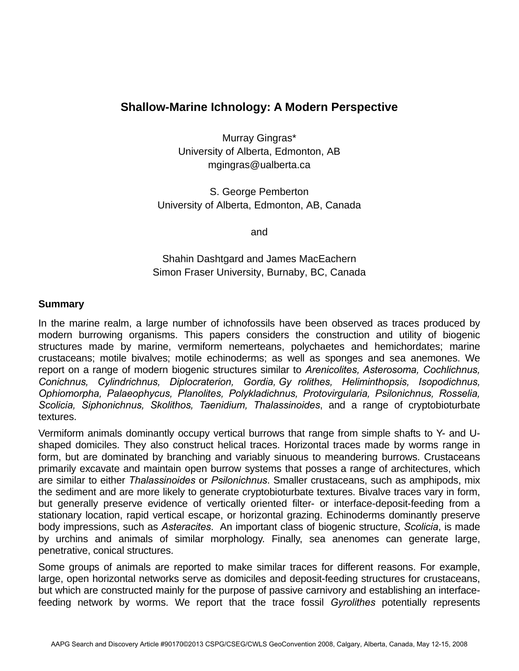## **Shallow-Marine Ichnology: A Modern Perspective**

Murray Gingras\* University of Alberta, Edmonton, AB mgingras@ualberta.ca

S. George Pemberton University of Alberta, Edmonton, AB, Canada

and

Shahin Dashtgard and James MacEachern Simon Fraser University, Burnaby, BC, Canada

## **Summary**

In the marine realm, a large number of ichnofossils have been observed as traces produced by modern burrowing organisms. This papers considers the construction and utility of biogenic structures made by marine, vermiform nemerteans, polychaetes and hemichordates; marine crustaceans; motile bivalves; motile echinoderms; as well as sponges and sea anemones. We report on a range of modern biogenic structures similar to *Arenicolites, Asterosoma, Cochlichnus, Conichnus, Cylindrichnus, Diplocraterion, Gordia, Gy rolithes, Heliminthopsis, Isopodichnus, Ophiomorpha, Palaeophycus, Planolites, Polykladichnus, Protovirgularia, Psilonichnus, Rosselia, Scolicia, Siphonichnus, Skolithos, Taenidium, Thalassinoides*, and a range of cryptobioturbate textures.

Vermiform animals dominantly occupy vertical burrows that range from simple shafts to Y- and Ushaped domiciles. They also construct helical traces. Horizontal traces made by worms range in form, but are dominated by branching and variably sinuous to meandering burrows. Crustaceans primarily excavate and maintain open burrow systems that posses a range of architectures, which are similar to either *Thalassinoides* or *Psilonichnus*. Smaller crustaceans, such as amphipods, mix the sediment and are more likely to generate cryptobioturbate textures. Bivalve traces vary in form, but generally preserve evidence of vertically oriented filter- or interface-deposit-feeding from a stationary location, rapid vertical escape, or horizontal grazing. Echinoderms dominantly preserve body impressions, such as *Asteracites*. An important class of biogenic structure, *Scolicia*, is made by urchins and animals of similar morphology. Finally, sea anenomes can generate large, penetrative, conical structures.

Some groups of animals are reported to make similar traces for different reasons. For example, large, open horizontal networks serve as domiciles and deposit-feeding structures for crustaceans, but which are constructed mainly for the purpose of passive carnivory and establishing an interfacefeeding network by worms. We report that the trace fossil *Gyrolithes* potentially represents